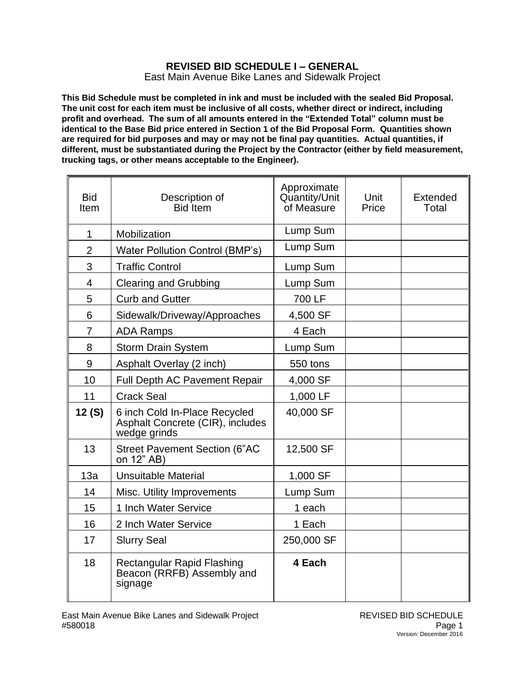## **REVISED BID SCHEDULE I – GENERAL** East Main Avenue Bike Lanes and Sidewalk Project

**This Bid Schedule must be completed in ink and must be included with the sealed Bid Proposal. The unit cost for each item must be inclusive of all costs, whether direct or indirect, including profit and overhead. The sum of all amounts entered in the "Extended Total" column must be identical to the Base Bid price entered in Section 1 of the Bid Proposal Form. Quantities shown are required for bid purposes and may or may not be final pay quantities. Actual quantities, if different, must be substantiated during the Project by the Contractor (either by field measurement, trucking tags, or other means acceptable to the Engineer).**

| <b>Bid</b><br>Item | Description of<br>Bid Item                                                        | Approximate<br>Quantity/Unit<br>of Measure | Unit<br>Price | Extended<br>Total |
|--------------------|-----------------------------------------------------------------------------------|--------------------------------------------|---------------|-------------------|
| $\mathbf 1$        | Mobilization                                                                      | Lump Sum                                   |               |                   |
| $\overline{2}$     | Water Pollution Control (BMP's)                                                   | Lump Sum                                   |               |                   |
| 3                  | <b>Traffic Control</b>                                                            | Lump Sum                                   |               |                   |
| $\overline{4}$     | <b>Clearing and Grubbing</b>                                                      | Lump Sum                                   |               |                   |
| 5                  | <b>Curb and Gutter</b>                                                            | 700 LF                                     |               |                   |
| 6                  | Sidewalk/Driveway/Approaches                                                      | 4,500 SF                                   |               |                   |
| $\overline{7}$     | <b>ADA Ramps</b>                                                                  | 4 Each                                     |               |                   |
| 8                  | <b>Storm Drain System</b>                                                         | Lump Sum                                   |               |                   |
| 9                  | Asphalt Overlay (2 inch)                                                          | 550 tons                                   |               |                   |
| 10                 | Full Depth AC Pavement Repair                                                     | 4,000 SF                                   |               |                   |
| 11                 | <b>Crack Seal</b>                                                                 | 1,000 LF                                   |               |                   |
| 12(S)              | 6 inch Cold In-Place Recycled<br>Asphalt Concrete (CIR), includes<br>wedge grinds | 40,000 SF                                  |               |                   |
| 13                 | <b>Street Pavement Section (6"AC</b><br>on 12" AB)                                | 12,500 SF                                  |               |                   |
| 13a                | <b>Unsuitable Material</b>                                                        | 1,000 SF                                   |               |                   |
| 14                 | Misc. Utility Improvements                                                        | Lump Sum                                   |               |                   |
| 15                 | 1 Inch Water Service                                                              | 1 each                                     |               |                   |
| 16                 | 2 Inch Water Service                                                              | 1 Each                                     |               |                   |
| 17                 | <b>Slurry Seal</b>                                                                | 250,000 SF                                 |               |                   |
| 18                 | Rectangular Rapid Flashing<br>Beacon (RRFB) Assembly and<br>signage               | 4 Each                                     |               |                   |